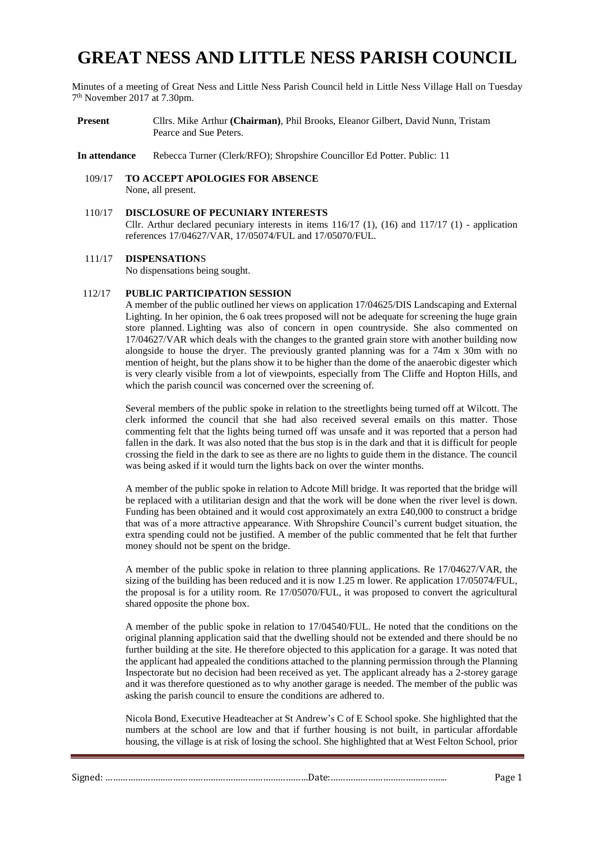# **GREAT NESS AND LITTLE NESS PARISH COUNCIL**

Minutes of a meeting of Great Ness and Little Ness Parish Council held in Little Ness Village Hall on Tuesday 7 th November 2017 at 7.30pm.

**Present** Cllrs. Mike Arthur **(Chairman)**, Phil Brooks, Eleanor Gilbert, David Nunn, Tristam Pearce and Sue Peters.

**In attendance** Rebecca Turner (Clerk/RFO); Shropshire Councillor Ed Potter. Public: 11

- 109/17 **TO ACCEPT APOLOGIES FOR ABSENCE** None, all present.
- 110/17 **DISCLOSURE OF PECUNIARY INTERESTS** Cllr. Arthur declared pecuniary interests in items  $116/17$  (1), (16) and  $117/17$  (1) - application references 17/04627/VAR, 17/05074/FUL and 17/05070/FUL.

#### 111/17 **DISPENSATION**S

No dispensations being sought.

### 112/17 **PUBLIC PARTICIPATION SESSION**

A member of the public outlined her views on application 17/04625/DIS Landscaping and External Lighting. In her opinion, the 6 oak trees proposed will not be adequate for screening the huge grain store planned. Lighting was also of concern in open countryside. She also commented on 17/04627/VAR which deals with the changes to the granted grain store with another building now alongside to house the dryer. The previously granted planning was for a 74m x 30m with no mention of height, but the plans show it to be higher than the dome of the anaerobic digester which is very clearly visible from a lot of viewpoints, especially from The Cliffe and Hopton Hills, and which the parish council was concerned over the screening of.

Several members of the public spoke in relation to the streetlights being turned off at Wilcott. The clerk informed the council that she had also received several emails on this matter. Those commenting felt that the lights being turned off was unsafe and it was reported that a person had fallen in the dark. It was also noted that the bus stop is in the dark and that it is difficult for people crossing the field in the dark to see as there are no lights to guide them in the distance. The council was being asked if it would turn the lights back on over the winter months.

A member of the public spoke in relation to Adcote Mill bridge. It was reported that the bridge will be replaced with a utilitarian design and that the work will be done when the river level is down. Funding has been obtained and it would cost approximately an extra £40,000 to construct a bridge that was of a more attractive appearance. With Shropshire Council's current budget situation, the extra spending could not be justified. A member of the public commented that he felt that further money should not be spent on the bridge.

A member of the public spoke in relation to three planning applications. Re 17/04627/VAR, the sizing of the building has been reduced and it is now 1.25 m lower. Re application 17/05074/FUL, the proposal is for a utility room. Re 17/05070/FUL, it was proposed to convert the agricultural shared opposite the phone box.

A member of the public spoke in relation to 17/04540/FUL. He noted that the conditions on the original planning application said that the dwelling should not be extended and there should be no further building at the site. He therefore objected to this application for a garage. It was noted that the applicant had appealed the conditions attached to the planning permission through the Planning Inspectorate but no decision had been received as yet. The applicant already has a 2-storey garage and it was therefore questioned as to why another garage is needed. The member of the public was asking the parish council to ensure the conditions are adhered to.

Nicola Bond, Executive Headteacher at St Andrew's C of E School spoke. She highlighted that the numbers at the school are low and that if further housing is not built, in particular affordable housing, the village is at risk of losing the school. She highlighted that at West Felton School, prior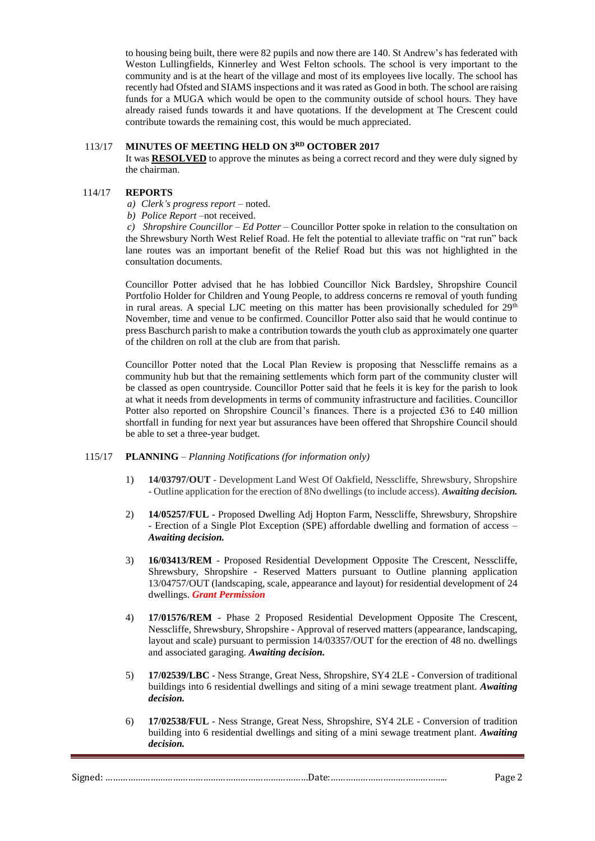to housing being built, there were 82 pupils and now there are 140. St Andrew's has federated with Weston Lullingfields, Kinnerley and West Felton schools. The school is very important to the community and is at the heart of the village and most of its employees live locally. The school has recently had Ofsted and SIAMS inspections and it was rated as Good in both. The school are raising funds for a MUGA which would be open to the community outside of school hours. They have already raised funds towards it and have quotations. If the development at The Crescent could contribute towards the remaining cost, this would be much appreciated.

#### 113/17 **MINUTES OF MEETING HELD ON 3 RD OCTOBER 2017**

It was **RESOLVED** to approve the minutes as being a correct record and they were duly signed by the chairman.

#### 114/17 **REPORTS**

- *a) Clerk's progress report –* noted.
- *b) Police Report –*not received.

*c) Shropshire Councillor – Ed Potter –* Councillor Potter spoke in relation to the consultation on the Shrewsbury North West Relief Road. He felt the potential to alleviate traffic on "rat run" back lane routes was an important benefit of the Relief Road but this was not highlighted in the consultation documents.

Councillor Potter advised that he has lobbied Councillor Nick Bardsley, Shropshire Council Portfolio Holder for Children and Young People, to address concerns re removal of youth funding in rural areas. A special LJC meeting on this matter has been provisionally scheduled for 29<sup>th</sup> November, time and venue to be confirmed. Councillor Potter also said that he would continue to press Baschurch parish to make a contribution towards the youth club as approximately one quarter of the children on roll at the club are from that parish.

Councillor Potter noted that the Local Plan Review is proposing that Nesscliffe remains as a community hub but that the remaining settlements which form part of the community cluster will be classed as open countryside. Councillor Potter said that he feels it is key for the parish to look at what it needs from developments in terms of community infrastructure and facilities. Councillor Potter also reported on Shropshire Council's finances. There is a projected £36 to £40 million shortfall in funding for next year but assurances have been offered that Shropshire Council should be able to set a three-year budget.

# 115/17 **PLANNING** – *Planning Notifications (for information only)*

- 1) **14/03797/OUT** Development Land West Of Oakfield, Nesscliffe, Shrewsbury, Shropshire - Outline application for the erection of 8No dwellings (to include access). *Awaiting decision.*
- 2) **14/05257/FUL** Proposed Dwelling Adj Hopton Farm, Nesscliffe, Shrewsbury, Shropshire - Erection of a Single Plot Exception (SPE) affordable dwelling and formation of access – *Awaiting decision.*
- 3) **16/03413/REM** Proposed Residential Development Opposite The Crescent, Nesscliffe, Shrewsbury, Shropshire - Reserved Matters pursuant to Outline planning application 13/04757/OUT (landscaping, scale, appearance and layout) for residential development of 24 dwellings. *Grant Permission*
- 4) **17/01576/REM** Phase 2 Proposed Residential Development Opposite The Crescent, Nesscliffe, Shrewsbury, Shropshire - Approval of reserved matters (appearance, landscaping, layout and scale) pursuant to permission 14/03357/OUT for the erection of 48 no. dwellings and associated garaging. *Awaiting decision.*
- 5) **17/02539/LBC** Ness Strange, Great Ness, Shropshire, SY4 2LE Conversion of traditional buildings into 6 residential dwellings and siting of a mini sewage treatment plant. *Awaiting decision.*
- 6) **17/02538/FUL** Ness Strange, Great Ness, Shropshire, SY4 2LE Conversion of tradition building into 6 residential dwellings and siting of a mini sewage treatment plant. *Awaiting decision.*

| $\sim$<br>.11 <sup>2</sup> | av: |
|----------------------------|-----|
|                            |     |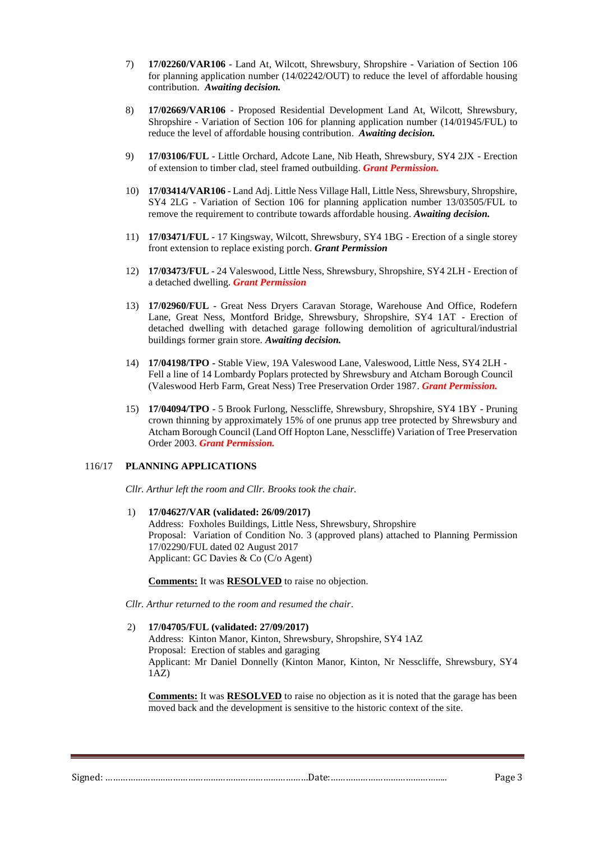- 7) **17/02260/VAR106** Land At, Wilcott, Shrewsbury, Shropshire Variation of Section 106 for planning application number (14/02242/OUT) to reduce the level of affordable housing contribution. *Awaiting decision.*
- 8) **17/02669/VAR106** Proposed Residential Development Land At, Wilcott, Shrewsbury, Shropshire - Variation of Section 106 for planning application number (14/01945/FUL) to reduce the level of affordable housing contribution. *Awaiting decision.*
- 9) **17/03106/FUL** Little Orchard, Adcote Lane, Nib Heath, Shrewsbury, SY4 2JX Erection of extension to timber clad, steel framed outbuilding. *Grant Permission.*
- 10) **17/03414/VAR106** Land Adj. Little Ness Village Hall, Little Ness, Shrewsbury, Shropshire, SY4 2LG - Variation of Section 106 for planning application number 13/03505/FUL to remove the requirement to contribute towards affordable housing. *Awaiting decision.*
- 11) **17/03471/FUL** 17 Kingsway, Wilcott, Shrewsbury, SY4 1BG Erection of a single storey front extension to replace existing porch. *Grant Permission*
- 12) **17/03473/FUL** 24 Valeswood, Little Ness, Shrewsbury, Shropshire, SY4 2LH Erection of a detached dwelling. *Grant Permission*
- 13) **17/02960/FUL** Great Ness Dryers Caravan Storage, Warehouse And Office, Rodefern Lane, Great Ness, Montford Bridge, Shrewsbury, Shropshire, SY4 1AT - Erection of detached dwelling with detached garage following demolition of agricultural/industrial buildings former grain store. *Awaiting decision.*
- 14) **17/04198/TPO -** Stable View, 19A Valeswood Lane, Valeswood, Little Ness, SY4 2LH Fell a line of 14 Lombardy Poplars protected by Shrewsbury and Atcham Borough Council (Valeswood Herb Farm, Great Ness) Tree Preservation Order 1987. *Grant Permission.*
- 15) **17/04094/TPO** 5 Brook Furlong, Nesscliffe, Shrewsbury, Shropshire, SY4 1BY Pruning crown thinning by approximately 15% of one prunus app tree protected by Shrewsbury and Atcham Borough Council (Land Off Hopton Lane, Nesscliffe) Variation of Tree Preservation Order 2003. *Grant Permission.*

## 116/17 **PLANNING APPLICATIONS**

*Cllr. Arthur left the room and Cllr. Brooks took the chair.*

1) **17/04627/VAR (validated: 26/09/2017)**

Address: Foxholes Buildings, Little Ness, Shrewsbury, Shropshire Proposal: Variation of Condition No. 3 (approved plans) attached to Planning Permission 17/02290/FUL dated 02 August 2017 Applicant: GC Davies & Co (C/o Agent)

**Comments:** It was **RESOLVED** to raise no objection.

*Cllr. Arthur returned to the room and resumed the chair*.

2) **17/04705/FUL (validated: 27/09/2017)**

Address: Kinton Manor, Kinton, Shrewsbury, Shropshire, SY4 1AZ Proposal: Erection of stables and garaging Applicant: Mr Daniel Donnelly (Kinton Manor, Kinton, Nr Nesscliffe, Shrewsbury, SY4 1AZ)

**Comments:** It was **RESOLVED** to raise no objection as it is noted that the garage has been moved back and the development is sensitive to the historic context of the site.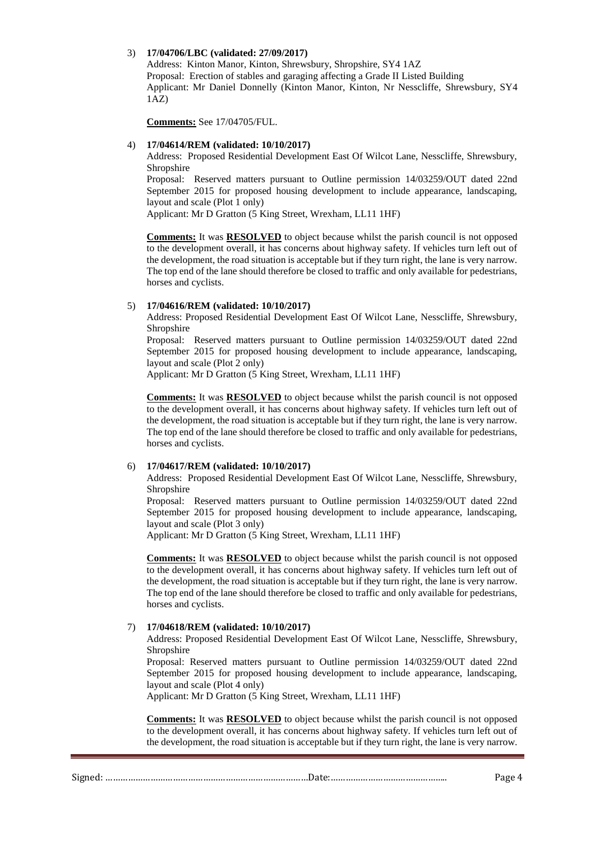## 3) **17/04706/LBC (validated: 27/09/2017)**

Address: Kinton Manor, Kinton, Shrewsbury, Shropshire, SY4 1AZ Proposal: Erection of stables and garaging affecting a Grade II Listed Building Applicant: Mr Daniel Donnelly (Kinton Manor, Kinton, Nr Nesscliffe, Shrewsbury, SY4 1AZ)

**Comments:** See 17/04705/FUL.

## 4) **17/04614/REM (validated: 10/10/2017)**

Address: Proposed Residential Development East Of Wilcot Lane, Nesscliffe, Shrewsbury, Shropshire

Proposal: Reserved matters pursuant to Outline permission 14/03259/OUT dated 22nd September 2015 for proposed housing development to include appearance, landscaping, layout and scale (Plot 1 only)

Applicant: Mr D Gratton (5 King Street, Wrexham, LL11 1HF)

**Comments:** It was **RESOLVED** to object because whilst the parish council is not opposed to the development overall, it has concerns about highway safety. If vehicles turn left out of the development, the road situation is acceptable but if they turn right, the lane is very narrow. The top end of the lane should therefore be closed to traffic and only available for pedestrians, horses and cyclists.

## 5) **17/04616/REM (validated: 10/10/2017)**

Address: Proposed Residential Development East Of Wilcot Lane, Nesscliffe, Shrewsbury, Shropshire

Proposal: Reserved matters pursuant to Outline permission 14/03259/OUT dated 22nd September 2015 for proposed housing development to include appearance, landscaping, layout and scale (Plot 2 only)

Applicant: Mr D Gratton (5 King Street, Wrexham, LL11 1HF)

**Comments:** It was **RESOLVED** to object because whilst the parish council is not opposed to the development overall, it has concerns about highway safety. If vehicles turn left out of the development, the road situation is acceptable but if they turn right, the lane is very narrow. The top end of the lane should therefore be closed to traffic and only available for pedestrians, horses and cyclists.

## 6) **17/04617/REM (validated: 10/10/2017)**

Address: Proposed Residential Development East Of Wilcot Lane, Nesscliffe, Shrewsbury, Shropshire

Proposal: Reserved matters pursuant to Outline permission 14/03259/OUT dated 22nd September 2015 for proposed housing development to include appearance, landscaping, layout and scale (Plot 3 only)

Applicant: Mr D Gratton (5 King Street, Wrexham, LL11 1HF)

**Comments:** It was **RESOLVED** to object because whilst the parish council is not opposed to the development overall, it has concerns about highway safety. If vehicles turn left out of the development, the road situation is acceptable but if they turn right, the lane is very narrow. The top end of the lane should therefore be closed to traffic and only available for pedestrians, horses and cyclists.

#### 7) **17/04618/REM (validated: 10/10/2017)**

Address: Proposed Residential Development East Of Wilcot Lane, Nesscliffe, Shrewsbury, Shropshire

Proposal: Reserved matters pursuant to Outline permission 14/03259/OUT dated 22nd September 2015 for proposed housing development to include appearance, landscaping, layout and scale (Plot 4 only)

Applicant: Mr D Gratton (5 King Street, Wrexham, LL11 1HF)

**Comments:** It was **RESOLVED** to object because whilst the parish council is not opposed to the development overall, it has concerns about highway safety. If vehicles turn left out of the development, the road situation is acceptable but if they turn right, the lane is very narrow.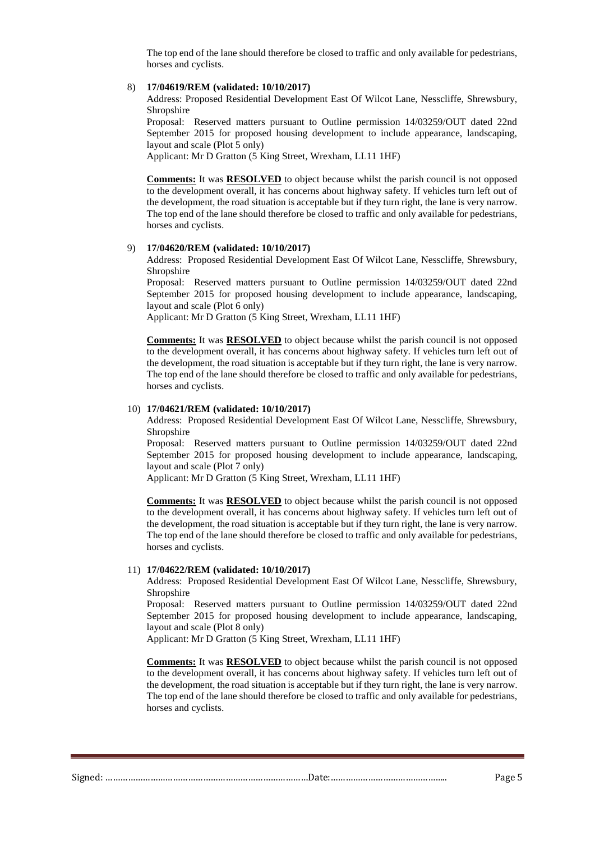The top end of the lane should therefore be closed to traffic and only available for pedestrians, horses and cyclists.

# 8) **17/04619/REM (validated: 10/10/2017)**

Address: Proposed Residential Development East Of Wilcot Lane, Nesscliffe, Shrewsbury, Shropshire

Proposal: Reserved matters pursuant to Outline permission 14/03259/OUT dated 22nd September 2015 for proposed housing development to include appearance, landscaping, layout and scale (Plot 5 only)

Applicant: Mr D Gratton (5 King Street, Wrexham, LL11 1HF)

**Comments:** It was **RESOLVED** to object because whilst the parish council is not opposed to the development overall, it has concerns about highway safety. If vehicles turn left out of the development, the road situation is acceptable but if they turn right, the lane is very narrow. The top end of the lane should therefore be closed to traffic and only available for pedestrians, horses and cyclists.

#### 9) **17/04620/REM (validated: 10/10/2017)**

Address: Proposed Residential Development East Of Wilcot Lane, Nesscliffe, Shrewsbury, Shropshire

Proposal: Reserved matters pursuant to Outline permission 14/03259/OUT dated 22nd September 2015 for proposed housing development to include appearance, landscaping, layout and scale (Plot 6 only)

Applicant: Mr D Gratton (5 King Street, Wrexham, LL11 1HF)

**Comments:** It was **RESOLVED** to object because whilst the parish council is not opposed to the development overall, it has concerns about highway safety. If vehicles turn left out of the development, the road situation is acceptable but if they turn right, the lane is very narrow. The top end of the lane should therefore be closed to traffic and only available for pedestrians, horses and cyclists.

#### 10) **17/04621/REM (validated: 10/10/2017)**

Address: Proposed Residential Development East Of Wilcot Lane, Nesscliffe, Shrewsbury, Shropshire

Proposal: Reserved matters pursuant to Outline permission 14/03259/OUT dated 22nd September 2015 for proposed housing development to include appearance, landscaping, layout and scale (Plot 7 only)

Applicant: Mr D Gratton (5 King Street, Wrexham, LL11 1HF)

**Comments:** It was **RESOLVED** to object because whilst the parish council is not opposed to the development overall, it has concerns about highway safety. If vehicles turn left out of the development, the road situation is acceptable but if they turn right, the lane is very narrow. The top end of the lane should therefore be closed to traffic and only available for pedestrians, horses and cyclists.

#### 11) **17/04622/REM (validated: 10/10/2017)**

Address: Proposed Residential Development East Of Wilcot Lane, Nesscliffe, Shrewsbury, Shropshire

Proposal: Reserved matters pursuant to Outline permission 14/03259/OUT dated 22nd September 2015 for proposed housing development to include appearance, landscaping, layout and scale (Plot 8 only)

Applicant: Mr D Gratton (5 King Street, Wrexham, LL11 1HF)

**Comments:** It was **RESOLVED** to object because whilst the parish council is not opposed to the development overall, it has concerns about highway safety. If vehicles turn left out of the development, the road situation is acceptable but if they turn right, the lane is very narrow. The top end of the lane should therefore be closed to traffic and only available for pedestrians, horses and cyclists.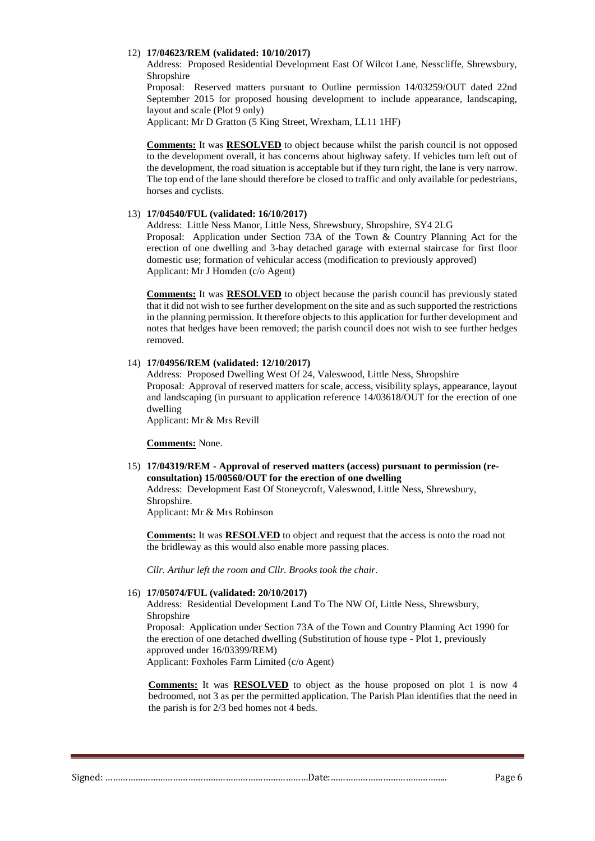#### 12) **17/04623/REM (validated: 10/10/2017)**

Address: Proposed Residential Development East Of Wilcot Lane, Nesscliffe, Shrewsbury, Shropshire

Proposal: Reserved matters pursuant to Outline permission 14/03259/OUT dated 22nd September 2015 for proposed housing development to include appearance, landscaping, layout and scale (Plot 9 only)

Applicant: Mr D Gratton (5 King Street, Wrexham, LL11 1HF)

**Comments:** It was **RESOLVED** to object because whilst the parish council is not opposed to the development overall, it has concerns about highway safety. If vehicles turn left out of the development, the road situation is acceptable but if they turn right, the lane is very narrow. The top end of the lane should therefore be closed to traffic and only available for pedestrians, horses and cyclists.

#### 13) **17/04540/FUL (validated: 16/10/2017)**

Address: Little Ness Manor, Little Ness, Shrewsbury, Shropshire, SY4 2LG Proposal: Application under Section 73A of the Town & Country Planning Act for the erection of one dwelling and 3-bay detached garage with external staircase for first floor domestic use; formation of vehicular access (modification to previously approved) Applicant: Mr J Homden (c/o Agent)

**Comments:** It was **RESOLVED** to object because the parish council has previously stated that it did not wish to see further development on the site and as such supported the restrictions in the planning permission. It therefore objects to this application for further development and notes that hedges have been removed; the parish council does not wish to see further hedges removed.

#### 14) **17/04956/REM (validated: 12/10/2017)**

Address: Proposed Dwelling West Of 24, Valeswood, Little Ness, Shropshire Proposal: Approval of reserved matters for scale, access, visibility splays, appearance, layout and landscaping (in pursuant to application reference 14/03618/OUT for the erection of one dwelling

Applicant: Mr & Mrs Revill

**Comments:** None.

15) **17/04319/REM - Approval of reserved matters (access) pursuant to permission (reconsultation) 15/00560/OUT for the erection of one dwelling**

Address: Development East Of Stoneycroft, Valeswood, Little Ness, Shrewsbury, Shropshire.

Applicant: Mr & Mrs Robinson

**Comments:** It was **RESOLVED** to object and request that the access is onto the road not the bridleway as this would also enable more passing places.

*Cllr. Arthur left the room and Cllr. Brooks took the chair.*

#### 16) **17/05074/FUL (validated: 20/10/2017)**

Address: Residential Development Land To The NW Of, Little Ness, Shrewsbury, Shropshire

Proposal: Application under Section 73A of the Town and Country Planning Act 1990 for the erection of one detached dwelling (Substitution of house type - Plot 1, previously approved under 16/03399/REM) Applicant: Foxholes Farm Limited (c/o Agent)

**Comments:** It was **RESOLVED** to object as the house proposed on plot 1 is now 4 bedroomed, not 3 as per the permitted application. The Parish Plan identifies that the need in the parish is for 2/3 bed homes not 4 beds.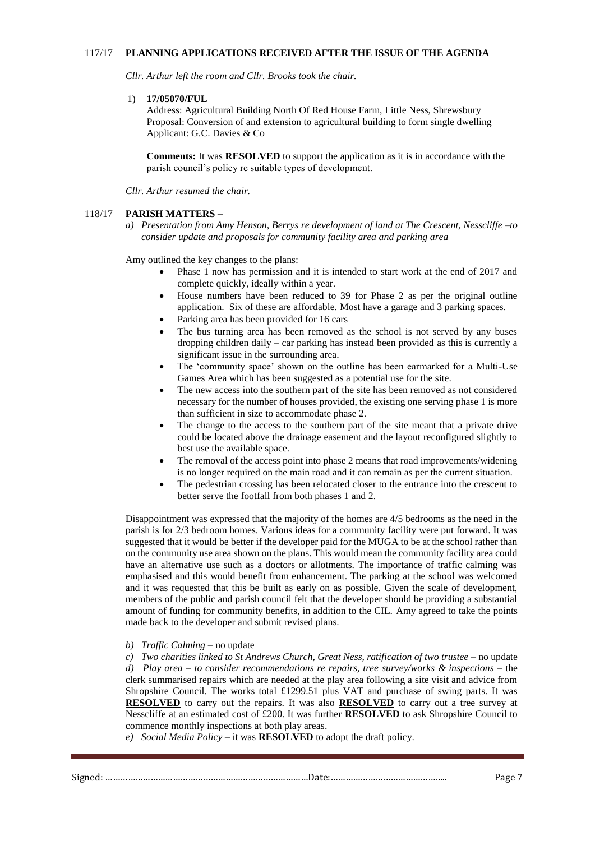#### 117/17 **PLANNING APPLICATIONS RECEIVED AFTER THE ISSUE OF THE AGENDA**

*Cllr. Arthur left the room and Cllr. Brooks took the chair.*

1) **17/05070/FUL** 

Address: Agricultural Building North Of Red House Farm, Little Ness, Shrewsbury Proposal: Conversion of and extension to agricultural building to form single dwelling Applicant: G.C. Davies & Co

**Comments:** It was **RESOLVED** to support the application as it is in accordance with the parish council's policy re suitable types of development.

*Cllr. Arthur resumed the chair.*

#### 118/17 **PARISH MATTERS –**

*a) Presentation from Amy Henson, Berrys re development of land at The Crescent, Nesscliffe –to consider update and proposals for community facility area and parking area*

Amy outlined the key changes to the plans:

- Phase 1 now has permission and it is intended to start work at the end of 2017 and complete quickly, ideally within a year.
- House numbers have been reduced to 39 for Phase 2 as per the original outline application. Six of these are affordable. Most have a garage and 3 parking spaces.
- Parking area has been provided for 16 cars
- The bus turning area has been removed as the school is not served by any buses dropping children daily – car parking has instead been provided as this is currently a significant issue in the surrounding area.
- The 'community space' shown on the outline has been earmarked for a Multi-Use Games Area which has been suggested as a potential use for the site.
- The new access into the southern part of the site has been removed as not considered necessary for the number of houses provided, the existing one serving phase 1 is more than sufficient in size to accommodate phase 2.
- The change to the access to the southern part of the site meant that a private drive could be located above the drainage easement and the layout reconfigured slightly to best use the available space.
- The removal of the access point into phase 2 means that road improvements/widening is no longer required on the main road and it can remain as per the current situation.
- The pedestrian crossing has been relocated closer to the entrance into the crescent to better serve the footfall from both phases 1 and 2.

Disappointment was expressed that the majority of the homes are 4/5 bedrooms as the need in the parish is for 2/3 bedroom homes. Various ideas for a community facility were put forward. It was suggested that it would be better if the developer paid for the MUGA to be at the school rather than on the community use area shown on the plans. This would mean the community facility area could have an alternative use such as a doctors or allotments. The importance of traffic calming was emphasised and this would benefit from enhancement. The parking at the school was welcomed and it was requested that this be built as early on as possible. Given the scale of development, members of the public and parish council felt that the developer should be providing a substantial amount of funding for community benefits, in addition to the CIL. Amy agreed to take the points made back to the developer and submit revised plans.

*b) Traffic Calming –* no update

*c) Two charities linked to St Andrews Church, Great Ness, ratification of two trustee –* no update *d) Play area – to consider recommendations re repairs, tree survey/works & inspections* – the clerk summarised repairs which are needed at the play area following a site visit and advice from Shropshire Council. The works total £1299.51 plus VAT and purchase of swing parts. It was **RESOLVED** to carry out the repairs. It was also **RESOLVED** to carry out a tree survey at Nesscliffe at an estimated cost of £200. It was further **RESOLVED** to ask Shropshire Council to commence monthly inspections at both play areas.

*e) Social Media Policy –* it was **RESOLVED** to adopt the draft policy.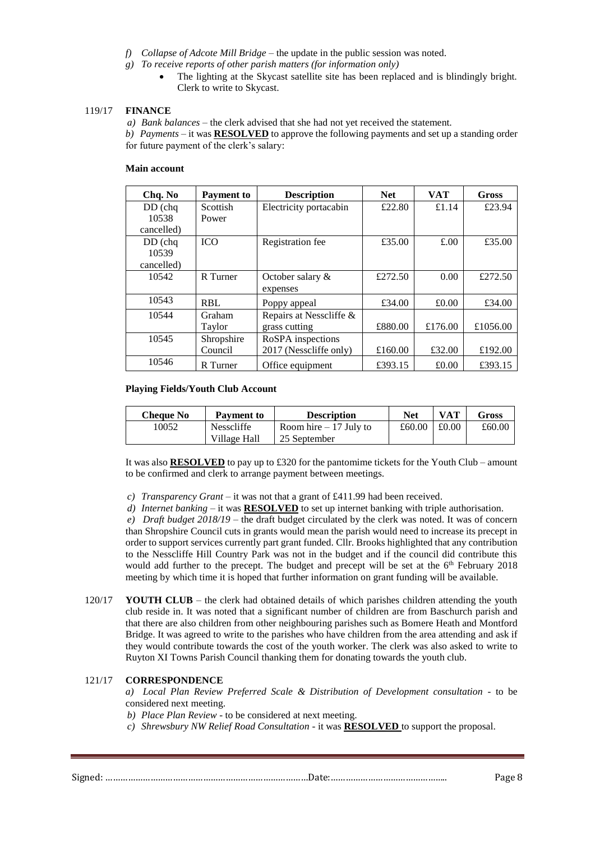- *f) Collapse of Adcote Mill Bridge* the update in the public session was noted.
- *g) To receive reports of other parish matters (for information only)*
	- The lighting at the Skycast satellite site has been replaced and is blindingly bright. Clerk to write to Skycast.

#### 119/17 **FINANCE**

*a) Bank balances –* the clerk advised that she had not yet received the statement.

*b) Payments –* it was **RESOLVED** to approve the following payments and set up a standing order for future payment of the clerk's salary:

## **Main account**

| Chq. No    | <b>Payment to</b> | <b>Description</b>      | <b>Net</b> | <b>VAT</b> | Gross    |
|------------|-------------------|-------------------------|------------|------------|----------|
| $DD$ (chq  | Scottish          | Electricity portacabin  | £22.80     | £1.14      | £23.94   |
| 10538      | Power             |                         |            |            |          |
| cancelled) |                   |                         |            |            |          |
| $DD$ (chq  | <b>ICO</b>        | Registration fee        | £35.00     | £.00       | £35.00   |
| 10539      |                   |                         |            |            |          |
| cancelled) |                   |                         |            |            |          |
| 10542      | R Turner          | October salary $\&$     | £272.50    | 0.00       | £272.50  |
|            |                   | expenses                |            |            |          |
| 10543      | <b>RBL</b>        | Poppy appeal            | £34.00     | £0.00      | £34.00   |
| 10544      | Graham            | Repairs at Nesscliffe & |            |            |          |
|            | Taylor            | grass cutting           | £880.00    | £176.00    | £1056.00 |
| 10545      | Shropshire        | RoSPA inspections       |            |            |          |
|            | Council           | 2017 (Nesscliffe only)  | £160.00    | £32.00     | £192.00  |
| 10546      | R Turner          | Office equipment        | £393.15    | £0.00      | £393.15  |

#### **Playing Fields/Youth Club Account**

| Cheaue No | Payment to        | <b>Description</b>      | Net    | VAT   | Gross  |
|-----------|-------------------|-------------------------|--------|-------|--------|
| 10052     | <b>Nesscliffe</b> | Room hire $-17$ July to | £60.00 | £0.00 | £60.00 |
|           | Village Hall      | 25 September            |        |       |        |

It was also **RESOLVED** to pay up to £320 for the pantomime tickets for the Youth Club – amount to be confirmed and clerk to arrange payment between meetings.

*c) Transparency Grant –* it was not that a grant of £411.99 had been received.

*d) Internet banking –* it was **RESOLVED** to set up internet banking with triple authorisation.

*e) Draft budget 2018/19 –* the draft budget circulated by the clerk was noted. It was of concern than Shropshire Council cuts in grants would mean the parish would need to increase its precept in order to support services currently part grant funded. Cllr. Brooks highlighted that any contribution to the Nesscliffe Hill Country Park was not in the budget and if the council did contribute this would add further to the precept. The budget and precept will be set at the  $6<sup>th</sup>$  February 2018 meeting by which time it is hoped that further information on grant funding will be available.

120/17 **YOUTH CLUB** – the clerk had obtained details of which parishes children attending the youth club reside in. It was noted that a significant number of children are from Baschurch parish and that there are also children from other neighbouring parishes such as Bomere Heath and Montford Bridge. It was agreed to write to the parishes who have children from the area attending and ask if they would contribute towards the cost of the youth worker. The clerk was also asked to write to Ruyton XI Towns Parish Council thanking them for donating towards the youth club.

## 121/17 **CORRESPONDENCE**

*a) Local Plan Review Preferred Scale & Distribution of Development consultation -* to be considered next meeting.

- *b) Place Plan Review*  to be considered at next meeting.
- *c) Shrewsbury NW Relief Road Consultation -* it was **RESOLVED** to support the proposal.